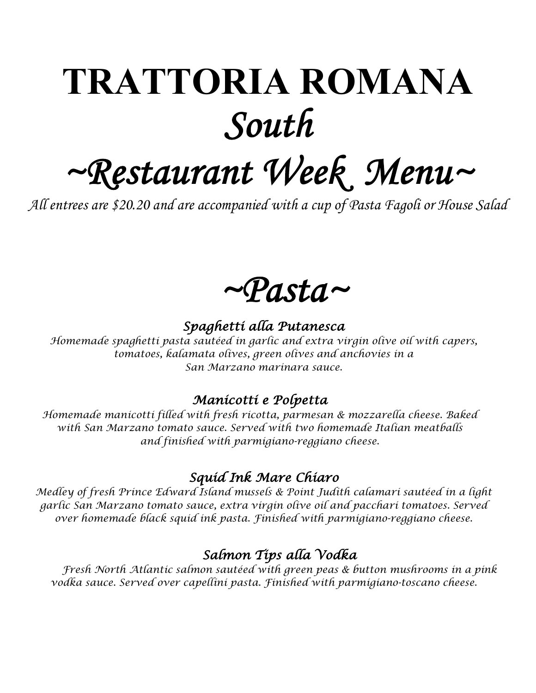## **TRATTORIA ROMANA** *South*

# *~Restaurant Week Menu~ All entrees are \$20.20 and are accompanied with a cup of Pasta Fagoli or House Salad*



#### *Spaghetti alla Putanesca*

*Homemade spaghetti pasta sautéed in garlic and extra virgin olive oil with capers, tomatoes, kalamata olives, green olives and anchovies in a San Marzano marinara sauce.* 

#### *Manicotti e Polpetta*

*Homemade manicotti filled with fresh ricotta, parmesan & mozzarella cheese. Baked with San Marzano tomato sauce. Served with two homemade Italian meatballs and finished with parmigiano-reggiano cheese.* 

#### *Squid Ink Mare Chiaro*

*Medley of fresh Prince Edward Island mussels & Point Judith calamari sautéed in a light garlic San Marzano tomato sauce, extra virgin olive oil and pacchari tomatoes. Served over homemade black squid ink pasta. Finished with parmigiano-reggiano cheese.*

#### *Salmon Tips alla Vodka*

*Fresh North Atlantic salmon sautéed with green peas & button mushrooms in a pink vodka sauce. Served over capellini pasta. Finished with parmigiano-toscano cheese.*